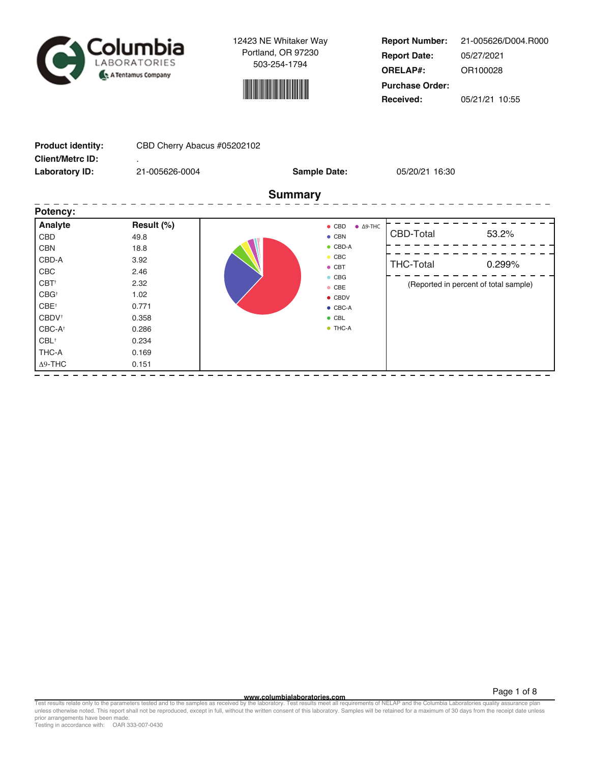



**Report Number: Report Date: ORELAP#:** 05/27/2021 OR100028 **Received:** 05/21/21 10:55 **Purchase Order:** 21-005626/D004.R000

| <b>Product identity:</b> | CBD Cherry Abacus #05202102 |                                           |                                       |        |  |  |  |  |
|--------------------------|-----------------------------|-------------------------------------------|---------------------------------------|--------|--|--|--|--|
| <b>Client/Metrc ID:</b>  |                             |                                           |                                       |        |  |  |  |  |
| <b>Laboratory ID:</b>    | 21-005626-0004              | <b>Sample Date:</b>                       | 05/20/21 16:30                        |        |  |  |  |  |
|                          |                             | <b>Summary</b>                            |                                       |        |  |  |  |  |
| Potency:                 |                             |                                           |                                       |        |  |  |  |  |
| Analyte                  | Result (%)                  | $\bullet$ CBD<br>$\bullet$ $\Delta$ 9-THC |                                       |        |  |  |  |  |
| CBD                      | 49.8                        | $\bullet$ CBN                             | CBD-Total                             | 53.2%  |  |  |  |  |
| <b>CBN</b>               | 18.8                        | $\bullet$ CBD-A                           |                                       |        |  |  |  |  |
| CBD-A                    | 3.92                        | $\bullet$ CBC                             | <b>THC-Total</b>                      | 0.299% |  |  |  |  |
| CBC                      | 2.46                        | $\bullet$ CBT                             |                                       |        |  |  |  |  |
| CBT <sup>+</sup>         | 2.32                        | $\bullet$ CBG<br>$\bullet$ CBE            | (Reported in percent of total sample) |        |  |  |  |  |
| CBG <sup>+</sup>         | 1.02                        | $\bullet$ CBDV                            |                                       |        |  |  |  |  |
| CBE <sup>+</sup>         | 0.771                       | $\bullet$ CBC-A                           |                                       |        |  |  |  |  |
| CBDV <sup>+</sup>        | 0.358                       | $\bullet$ CBL                             |                                       |        |  |  |  |  |
| CBC-A <sup>+</sup>       | 0.286                       | $\bullet$ THC-A                           |                                       |        |  |  |  |  |
| $CBL$ <sup>+</sup>       | 0.234                       |                                           |                                       |        |  |  |  |  |
| THC-A                    | 0.169                       |                                           |                                       |        |  |  |  |  |
| $\Delta$ 9-THC           | 0.151                       |                                           |                                       |        |  |  |  |  |
|                          |                             |                                           |                                       |        |  |  |  |  |

Page 1 of 8<br>Test results relate only to the parameters tested and to the samples as received by the laboratory. Test results meet all requirements of NELAP and the Columbia Laboratories quality assurance plan<br>unless otherw prior arrangements have been made.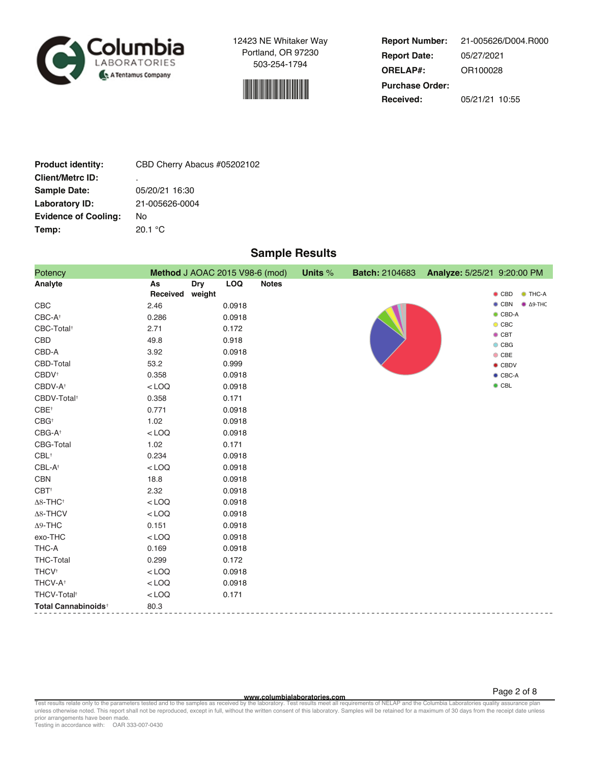



**Report Number: Report Date: ORELAP#:** 05/27/2021 OR100028 **Received:** 05/21/21 10:55 **Purchase Order:** 21-005626/D004.R000

| <b>Product identity:</b>    | CBD Cherry Abacus #05202102 |
|-----------------------------|-----------------------------|
| <b>Client/Metrc ID:</b>     | ٠                           |
| <b>Sample Date:</b>         | 05/20/21 16:30              |
| Laboratory ID:              | 21-005626-0004              |
| <b>Evidence of Cooling:</b> | No                          |
| Temp:                       | 20.1 °C                     |

# **Sample Results**

| Potency                         | Method J AOAC 2015 V98-6 (mod)         |                            | Units % | <b>Batch: 2104683</b> | Analyze: 5/25/21 9:20:00 PM |                                           |
|---------------------------------|----------------------------------------|----------------------------|---------|-----------------------|-----------------------------|-------------------------------------------|
| Analyte                         | As<br><b>Dry</b><br>Received<br>weight | <b>LOQ</b><br><b>Notes</b> |         |                       |                             | $\bullet$ CBD<br>$\bullet$ THC-A          |
| CBC                             | 2.46                                   | 0.0918                     |         |                       |                             | $\bullet$ CBN<br>$\bullet$ $\Delta$ 9-THC |
| CBC-A <sup>+</sup>              | 0.286                                  | 0.0918                     |         |                       |                             | $\bullet$ CBD-A                           |
| CBC-Total <sup>+</sup>          | 2.71                                   | 0.172                      |         |                       |                             | $\bullet$ CBC<br>$\bullet$ CBT            |
| CBD                             | 49.8                                   | 0.918                      |         |                       |                             | $\bullet$ CBG                             |
| CBD-A                           | 3.92                                   | 0.0918                     |         |                       |                             | $\bullet$ CBE                             |
| CBD-Total                       | 53.2                                   | 0.999                      |         |                       |                             | $\bullet$ CBDV                            |
| $CBDV^+$                        | 0.358                                  | 0.0918                     |         |                       |                             | $\bullet$ CBC-A                           |
| CBDV-A <sup>+</sup>             | $<$ LOQ                                | 0.0918                     |         |                       |                             | $\bullet$ CBL                             |
| CBDV-Total <sup>+</sup>         | 0.358                                  | 0.171                      |         |                       |                             |                                           |
| $CBE^+$                         | 0.771                                  | 0.0918                     |         |                       |                             |                                           |
| $CBG^+$                         | 1.02                                   | 0.0918                     |         |                       |                             |                                           |
| CBG-A <sup>+</sup>              | $<$ LOQ                                | 0.0918                     |         |                       |                             |                                           |
| CBG-Total                       | 1.02                                   | 0.171                      |         |                       |                             |                                           |
| $CBL$ <sup>+</sup>              | 0.234                                  | 0.0918                     |         |                       |                             |                                           |
| CBL-A <sup>+</sup>              | $<$ LOQ                                | 0.0918                     |         |                       |                             |                                           |
| CBN                             | 18.8                                   | 0.0918                     |         |                       |                             |                                           |
| $CBT^+$                         | 2.32                                   | 0.0918                     |         |                       |                             |                                           |
| $\Delta8\text{-}\mathsf{THC^+}$ | $<$ LOQ                                | 0.0918                     |         |                       |                             |                                           |
| Δ8-THCV                         | $<$ LOQ                                | 0.0918                     |         |                       |                             |                                           |
| $\Delta$ 9-THC                  | 0.151                                  | 0.0918                     |         |                       |                             |                                           |
| exo-THC                         | $<$ LOQ                                | 0.0918                     |         |                       |                             |                                           |
| THC-A                           | 0.169                                  | 0.0918                     |         |                       |                             |                                           |
| <b>THC-Total</b>                | 0.299                                  | 0.172                      |         |                       |                             |                                           |
| THCV <sup>+</sup>               | $<$ LOQ                                | 0.0918                     |         |                       |                             |                                           |
| THCV-A <sup>+</sup>             | $<$ LOQ                                | 0.0918                     |         |                       |                             |                                           |
| THCV-Total <sup>+</sup>         | $<$ LOQ                                | 0.171                      |         |                       |                             |                                           |
| Total Cannabinoids <sup>+</sup> | 80.3                                   |                            |         |                       |                             |                                           |

Page 2 of 8<br>Test results relate only to the parameters tested and to the samples as received by the laboratory. Test results meet all requirements of NELAP and the Columbia Laboratories quality assurance plan<br>unless otherw prior arrangements have been made.

Testing in accordance with: OAR 333-007-0430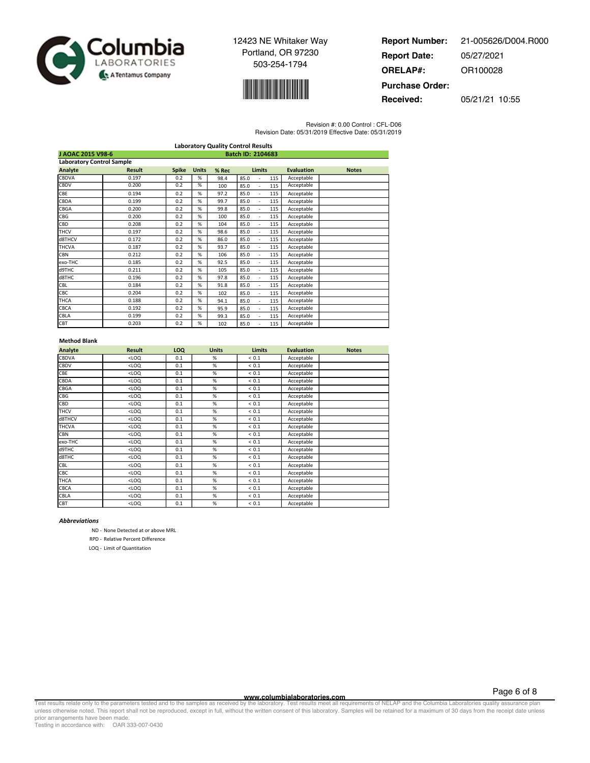



| <b>Report Number:</b>  | 21-005626/D004.R000 |
|------------------------|---------------------|
| <b>Report Date:</b>    | 05/27/2021          |
| <b>ORELAP#:</b>        | OR100028            |
| <b>Purchase Order:</b> |                     |
| Received:              | 05/21/21 10:55      |

Revision #: 0.00 Control : CFL-D06

Revision Date: 05/31/2019 Effective Date: 05/31/2019

| <b>Laboratory Quality Control Results</b> |                                  |              |              |       |                               |                   |              |
|-------------------------------------------|----------------------------------|--------------|--------------|-------|-------------------------------|-------------------|--------------|
| J AOAC 2015 V98-6<br>Batch ID: 2104683    |                                  |              |              |       |                               |                   |              |
|                                           | <b>Laboratory Control Sample</b> |              |              |       |                               |                   |              |
| Analyte                                   | <b>Result</b>                    | <b>Spike</b> | <b>Units</b> | % Rec | <b>Limits</b>                 | <b>Evaluation</b> | <b>Notes</b> |
| CBDVA                                     | 0.197                            | 0.2          | %            | 98.4  | 85.0<br>115                   | Acceptable        |              |
| CBDV                                      | 0.200                            | 0.2          | %            | 100   | 115<br>85.0<br>٠              | Acceptable        |              |
| CBE                                       | 0.194                            | 0.2          | %            | 97.2  | 85.0<br>115<br>٠              | Acceptable        |              |
| CBDA                                      | 0.199                            | 0.2          | %            | 99.7  | 85.0<br>115                   | Acceptable        |              |
| CBGA                                      | 0.200                            | 0.2          | %            | 99.8  | 85.0<br>115<br>÷,             | Acceptable        |              |
| CBG                                       | 0.200                            | 0.2          | %            | 100   | 85.0<br>115                   | Acceptable        |              |
| CBD                                       | 0.208                            | 0.2          | %            | 104   | 85.0<br>115<br>ä,             | Acceptable        |              |
| <b>THCV</b>                               | 0.197                            | 0.2          | %            | 98.6  | 85.0<br>115<br>٠              | Acceptable        |              |
| d8THCV                                    | 0.172                            | 0.2          | %            | 86.0  | 85.0<br>115<br>٠              | Acceptable        |              |
| <b>THCVA</b>                              | 0.187                            | 0.2          | %            | 93.7  | 85.0<br>115                   | Acceptable        |              |
| <b>CBN</b>                                | 0.212                            | 0.2          | %            | 106   | 85.0<br>115                   | Acceptable        |              |
| exo-THC                                   | 0.185                            | 0.2          | %            | 92.5  | 85.0<br>115<br>L,             | Acceptable        |              |
| d9THC                                     | 0.211                            | 0.2          | %            | 105   | 85.0<br>115                   | Acceptable        |              |
| d8THC                                     | 0.196                            | 0.2          | %            | 97.8  | 85.0<br>115<br>$\overline{a}$ | Acceptable        |              |
| CBL                                       | 0.184                            | 0.2          | %            | 91.8  | 85.0<br>115<br>$\overline{a}$ | Acceptable        |              |
| CBC                                       | 0.204                            | 0.2          | %            | 102   | 85.0<br>115                   | Acceptable        |              |
| <b>THCA</b>                               | 0.188                            | 0.2          | %            | 94.1  | 85.0<br>115<br>÷,             | Acceptable        |              |
| CBCA                                      | 0.192                            | 0.2          | %            | 95.9  | 85.0<br>115<br>÷,             | Acceptable        |              |
| CBLA                                      | 0.199                            | 0.2          | %            | 99.3  | 85.0<br>115                   | Acceptable        |              |
| CBT                                       | 0.203                            | 0.2          | %            | 102   | 85.0<br>115<br>$\overline{a}$ | Acceptable        |              |

### **Method Blank**

| Analyte      | <b>Result</b> | <b>LOQ</b> | <b>Units</b> | <b>Limits</b> | <b>Evaluation</b> | <b>Notes</b> |
|--------------|---------------|------------|--------------|---------------|-------------------|--------------|
| <b>CBDVA</b> | $<$ LOQ       | 0.1        | %            | ${}< 0.1$     | Acceptable        |              |
| <b>CBDV</b>  | $<$ LOQ       | 0.1        | %            | ${}< 0.1$     | Acceptable        |              |
| CBE          | $<$ LOQ       | 0.1        | %            | ${}< 0.1$     | Acceptable        |              |
| CBDA         | $<$ LOQ       | 0.1        | %            | < 0.1         | Acceptable        |              |
| CBGA         | $<$ LOQ       | 0.1        | %            | ${}< 0.1$     | Acceptable        |              |
| CBG          | $<$ LOQ       | 0.1        | %            | < 0.1         | Acceptable        |              |
| CBD          | $<$ LOQ       | 0.1        | %            | < 0.1         | Acceptable        |              |
| <b>THCV</b>  | $<$ LOQ       | 0.1        | %            | ${}< 0.1$     | Acceptable        |              |
| d8THCV       | $<$ LOQ       | 0.1        | %            | < 0.1         | Acceptable        |              |
| <b>THCVA</b> | $<$ LOQ       | 0.1        | %            | ${}< 0.1$     | Acceptable        |              |
| <b>CBN</b>   | $<$ LOQ       | 0.1        | %            | ${}< 0.1$     | Acceptable        |              |
| exo-THC      | $<$ LOQ       | 0.1        | %            | ${}< 0.1$     | Acceptable        |              |
| d9THC        | $<$ LOQ       | 0.1        | %            | ${}< 0.1$     | Acceptable        |              |
| d8THC        | $<$ LOQ       | 0.1        | %            | ${}< 0.1$     | Acceptable        |              |
| CBL          | $<$ LOQ       | 0.1        | %            | < 0.1         | Acceptable        |              |
| CBC          | $<$ LOQ       | 0.1        | %            | < 0.1         | Acceptable        |              |
| THCA         | $<$ LOQ       | 0.1        | %            | ${}< 0.1$     | Acceptable        |              |
| CBCA         | $<$ LOQ       | 0.1        | %            | < 0.1         | Acceptable        |              |
| CBLA         | $<$ LOQ       | 0.1        | %            | ${}< 0.1$     | Acceptable        |              |
| CBT          | $<$ LOQ       | 0.1        | %            | ${}< 0.1$     | Acceptable        |              |

#### **Abbreviations**

ND - None Detected at or above MRL

RPD - Relative Percent Difference

LOQ - Limit of Quantitation

**WWW.columbialaboratories.com**<br>unless otherwise noted. This report shall not be reproduced, except in full, without the written consent of this laboratory. Test results meet all requirements of NELAP and the Columbia Labor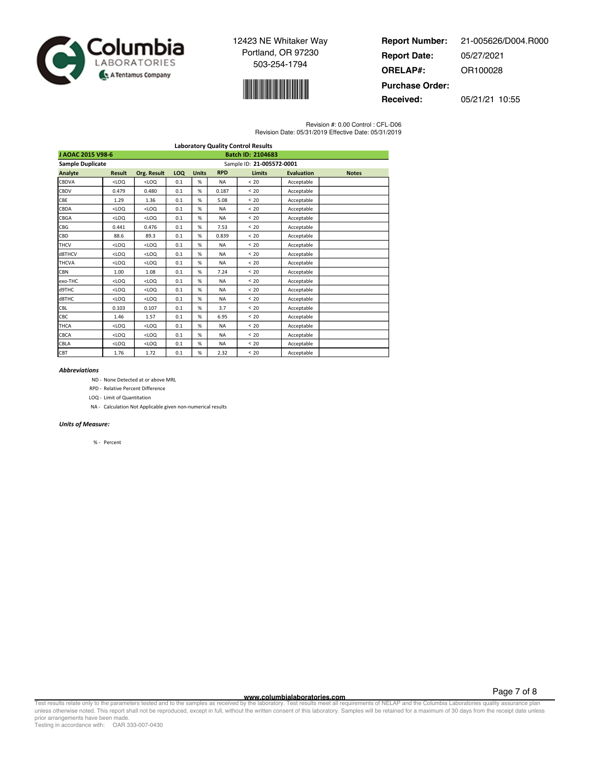



| <b>Report Number:</b>  | 21-005626/D004.R000 |
|------------------------|---------------------|
| <b>Report Date:</b>    | 05/27/2021          |
| <b>ORELAP#:</b>        | OR100028            |
| <b>Purchase Order:</b> |                     |
| Received:              | 05/21/21 10:55      |

Revision #: 0.00 Control : CFL-D06 Revision Date: 05/31/2019 Effective Date: 05/31/2019

|                                               |               |                           |     |              |            | <b>Laboratory Quality Control Results</b> |                   |              |
|-----------------------------------------------|---------------|---------------------------|-----|--------------|------------|-------------------------------------------|-------------------|--------------|
| <b>Batch ID: 2104683</b><br>J AOAC 2015 V98-6 |               |                           |     |              |            |                                           |                   |              |
| <b>Sample Duplicate</b>                       |               | Sample ID: 21-005572-0001 |     |              |            |                                           |                   |              |
| <b>Analyte</b>                                | <b>Result</b> | <b>Org. Result</b>        | LOQ | <b>Units</b> | <b>RPD</b> | <b>Limits</b>                             | <b>Evaluation</b> | <b>Notes</b> |
| CBDVA                                         | $<$ LOQ       | $<$ LOQ                   | 0.1 | %            | <b>NA</b>  | < 20                                      | Acceptable        |              |
| CBDV                                          | 0.479         | 0.480                     | 0.1 | %            | 0.187      | < 20                                      | Acceptable        |              |
| CBE                                           | 1.29          | 1.36                      | 0.1 | %            | 5.08       | < 20                                      | Acceptable        |              |
| <b>CBDA</b>                                   | $<$ LOQ       | $<$ LOQ                   | 0.1 | %            | <b>NA</b>  | < 20                                      | Acceptable        |              |
| CBGA                                          | $<$ LOQ       | $<$ LOQ                   | 0.1 | %            | <b>NA</b>  | < 20                                      | Acceptable        |              |
| CBG                                           | 0.441         | 0.476                     | 0.1 | %            | 7.53       | < 20                                      | Acceptable        |              |
| CBD                                           | 88.6          | 89.3                      | 0.1 | %            | 0.839      | < 20                                      | Acceptable        |              |
| <b>THCV</b>                                   | $<$ LOQ       | $<$ LOQ                   | 0.1 | %            | <b>NA</b>  | < 20                                      | Acceptable        |              |
| d8THCV                                        | $<$ LOQ       | $<$ LOQ                   | 0.1 | %            | <b>NA</b>  | < 20                                      | Acceptable        |              |
| <b>THCVA</b>                                  | $<$ LOQ       | $<$ LOQ                   | 0.1 | %            | <b>NA</b>  | < 20                                      | Acceptable        |              |
| <b>CBN</b>                                    | 1.00          | 1.08                      | 0.1 | %            | 7.24       | < 20                                      | Acceptable        |              |
| exo-THC                                       | $<$ LOQ       | $<$ LOQ                   | 0.1 | %            | <b>NA</b>  | < 20                                      | Acceptable        |              |
| d9THC                                         | $<$ LOQ       | $<$ LOQ                   | 0.1 | %            | <b>NA</b>  | < 20                                      | Acceptable        |              |
| d8THC                                         | $<$ LOQ       | $<$ LOQ                   | 0.1 | %            | <b>NA</b>  | < 20                                      | Acceptable        |              |
| CBL                                           | 0.103         | 0.107                     | 0.1 | %            | 3.7        | < 20                                      | Acceptable        |              |
| CBC                                           | 1.46          | 1.57                      | 0.1 | %            | 6.95       | < 20                                      | Acceptable        |              |
| <b>THCA</b>                                   | $<$ LOQ       | $<$ LOQ                   | 0.1 | %            | <b>NA</b>  | < 20                                      | Acceptable        |              |
| CBCA                                          | $<$ LOQ       | $<$ LOQ                   | 0.1 | %            | <b>NA</b>  | < 20                                      | Acceptable        |              |
| CBLA                                          | $<$ LOQ       | $<$ LOQ                   | 0.1 | %            | <b>NA</b>  | < 20                                      | Acceptable        |              |
| CBT                                           | 1.76          | 1.72                      | 0.1 | %            | 2.32       | < 20                                      | Acceptable        |              |

#### **Abbreviations**

ND - None Detected at or above MRL

RPD - Relative Percent Difference

LOQ - Limit of Quantitation

NA - Calculation Not Applicable given non-numerical results

## Units of Measure:

% - Percent

**WWW.columbialaboratories.com**<br>unless otherwise noted. This report shall not be reproduced, except in full, without the written consent of this laboratory. Test results meet all requirements of NELAP and the Columbia Labor